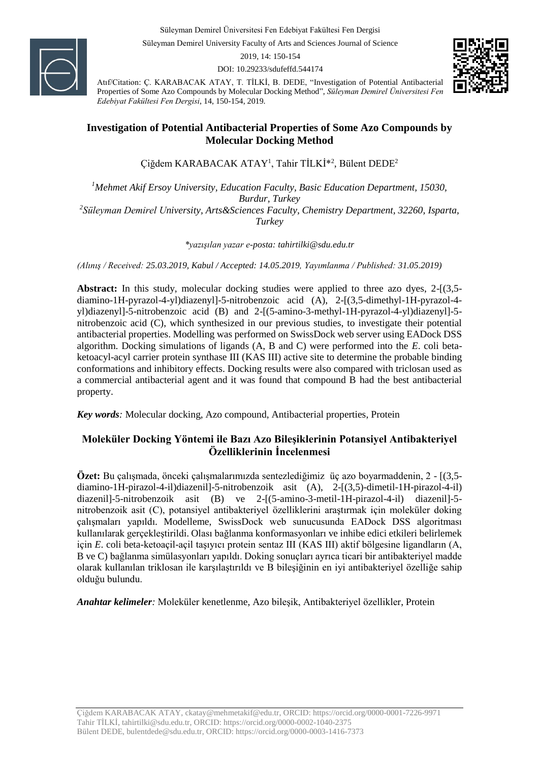Süleyman Demirel Üniversitesi Fen Edebiyat Fakültesi Fen Dergisi

Süleyman Demirel University Faculty of Arts and Sciences Journal of Science

2019, 14: 150-154

DOI: 10.29233/sdufeffd.544174



Atıf/Citation: Ç. KARABACAK ATAY, T. TİLKİ, B. DEDE, "Investigation of Potential Antibacterial Properties of Some Azo Compounds by Molecular Docking Method", *Süleyman Demirel Üniversitesi Fen Edebiyat Fakültesi Fen Dergisi*, 14, 150-154, 2019.

#### **Investigation of Potential Antibacterial Properties of Some Azo Compounds by Molecular Docking Method**

Çiğdem KARABACAK ATAY<sup>1</sup> , Tahir TİLKİ\*<sup>2</sup> , Bülent DEDE<sup>2</sup>

*<sup>1</sup>Mehmet Akif Ersoy University, Education Faculty, Basic Education Department, 15030, Burdur, Turkey 2 Süleyman Demirel University, Arts&Sciences Faculty, Chemistry Department, 32260, Isparta, Turkey*

*\*yazışılan yazar e-posta: tahirtilki@sdu.edu.tr*

*(Alınış / Received: 25.03.2019, Kabul / Accepted: 14.05.2019, Yayımlanma / Published: 31.05.2019)*

**Abstract:** In this study, molecular docking studies were applied to three azo dyes, 2-[(3,5 diamino-1H-pyrazol-4-yl)diazenyl]-5-nitrobenzoic acid (A), 2-[(3,5-dimethyl-1H-pyrazol-4 yl)diazenyl]-5-nitrobenzoic acid (B) and 2-[(5-amino-3-methyl-1H-pyrazol-4-yl)diazenyl]-5 nitrobenzoic acid (C), which synthesized in our previous studies, to investigate their potential antibacterial properties. Modelling was performed on SwissDock web server using EADock DSS algorithm. Docking simulations of ligands (A, B and C) were performed into the *E*. coli betaketoacyl-acyl carrier protein synthase III (KAS III) active site to determine the probable binding conformations and inhibitory effects. Docking results were also compared with triclosan used as a commercial antibacterial agent and it was found that compound B had the best antibacterial property.

*Key words:* Molecular docking, Azo compound, Antibacterial properties, Protein

### **Moleküler Docking Yöntemi ile Bazı Azo Bileşiklerinin Potansiyel Antibakteriyel Özelliklerinin İncelenmesi**

**Özet:** Bu çalışmada, önceki çalışmalarımızda sentezlediğimiz üç azo boyarmaddenin, 2 - [(3,5 diamino-1H-pirazol-4-il)diazenil]-5-nitrobenzoik asit (A), 2-[(3,5)-dimetil-1H-pirazol-4-il) diazenil]-5-nitrobenzoik asit (B) ve 2-[(5-amino-3-metil-1H-pirazol-4-il) diazenil]-5 nitrobenzoik asit (C), potansiyel antibakteriyel özelliklerini araştırmak için moleküler doking çalışmaları yapıldı. Modelleme, SwissDock web sunucusunda EADock DSS algoritması kullanılarak gerçekleştirildi. Olası bağlanma konformasyonları ve inhibe edici etkileri belirlemek için *E*. coli beta-ketoaçil-açil taşıyıcı protein sentaz III (KAS III) aktif bölgesine ligandların (A, B ve C) bağlanma simülasyonları yapıldı. Doking sonuçları ayrıca ticari bir antibakteriyel madde olarak kullanılan triklosan ile karşılaştırıldı ve B bileşiğinin en iyi antibakteriyel özelliğe sahip olduğu bulundu.

*Anahtar kelimeler:* Moleküler kenetlenme, Azo bileşik, Antibakteriyel özellikler, Protein

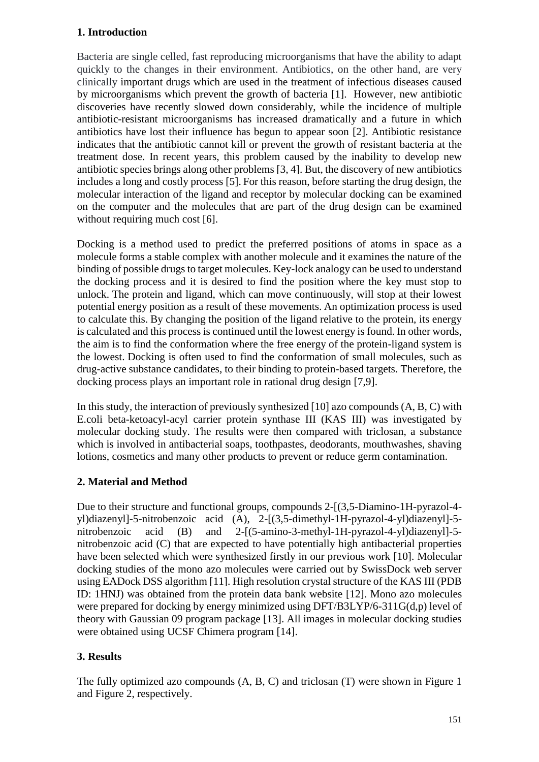## **1. Introduction**

Bacteria are single celled, fast reproducing microorganisms that have the ability to adapt quickly to the changes in their environment. Antibiotics, on the other hand, are very clinically important drugs which are used in the treatment of infectious diseases caused by microorganisms which prevent the growth of bacteria [1]. However, new antibiotic discoveries have recently slowed down considerably, while the incidence of multiple antibiotic-resistant microorganisms has increased dramatically and a future in which antibiotics have lost their influence has begun to appear soon [2]. Antibiotic resistance indicates that the antibiotic cannot kill or prevent the growth of resistant bacteria at the treatment dose. In recent years, this problem caused by the inability to develop new antibiotic species brings along other problems [3, 4]. But, the discovery of new antibiotics includes a long and costly process [5]. For this reason, before starting the drug design, the molecular interaction of the ligand and receptor by molecular docking can be examined on the computer and the molecules that are part of the drug design can be examined without requiring much cost [6].

Docking is a method used to predict the preferred positions of atoms in space as a molecule forms a stable complex with another molecule and it examines the nature of the binding of possible drugs to target molecules. Key-lock analogy can be used to understand the docking process and it is desired to find the position where the key must stop to unlock. The protein and ligand, which can move continuously, will stop at their lowest potential energy position as a result of these movements. An optimization process is used to calculate this. By changing the position of the ligand relative to the protein, its energy is calculated and this process is continued until the lowest energy is found. In other words, the aim is to find the conformation where the free energy of the protein-ligand system is the lowest. Docking is often used to find the conformation of small molecules, such as drug-active substance candidates, to their binding to protein-based targets. Therefore, the docking process plays an important role in rational drug design [7,9].

In this study, the interaction of previously synthesized [10] azo compounds  $(A, B, C)$  with E.coli beta-ketoacyl-acyl carrier protein synthase III (KAS III) was investigated by molecular docking study. The results were then compared with triclosan, a substance which is involved in antibacterial soaps, toothpastes, deodorants, mouthwashes, shaving lotions, cosmetics and many other products to prevent or reduce germ contamination.

# **2. Material and Method**

Due to their structure and functional groups, compounds 2-[(3,5-Diamino-1H-pyrazol-4 yl)diazenyl]-5-nitrobenzoic acid (A), 2-[(3,5-dimethyl-1H-pyrazol-4-yl)diazenyl]-5 nitrobenzoic acid (B) and 2-[(5-amino-3-methyl-1H-pyrazol-4-yl)diazenyl]-5nitrobenzoic acid (C) that are expected to have potentially high antibacterial properties have been selected which were synthesized firstly in our previous work [10]. Molecular docking studies of the mono azo molecules were carried out by SwissDock web server using EADock DSS algorithm [11]. High resolution crystal structure of the KAS III (PDB ID: 1HNJ) was obtained from the protein data bank website [12]. Mono azo molecules were prepared for docking by energy minimized using DFT/B3LYP/6-311G(d,p) level of theory with Gaussian 09 program package [13]. All images in molecular docking studies were obtained using UCSF Chimera program [14].

# **3. Results**

The fully optimized azo compounds (A, B, C) and triclosan (T) were shown in Figure 1 and Figure 2, respectively.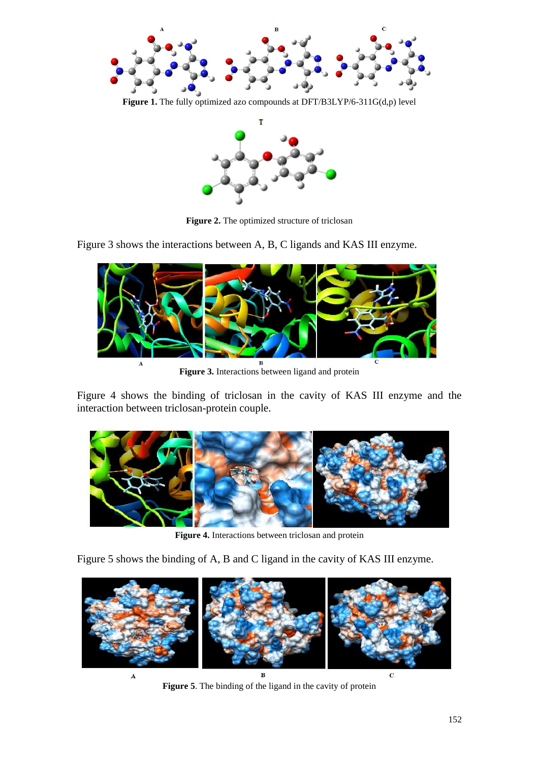

**Figure 1.** The fully optimized azo compounds at DFT/B3LYP/6-311G(d,p) level



**Figure 2.** The optimized structure of triclosan

Figure 3 shows the interactions between A, B, C ligands and KAS III enzyme.



**Figure 3.** Interactions between ligand and protein

Figure 4 shows the binding of triclosan in the cavity of KAS III enzyme and the interaction between triclosan-protein couple.



**Figure 4.** Interactions between triclosan and protein

Figure 5 shows the binding of A, B and C ligand in the cavity of KAS III enzyme.



**Figure 5**. The binding of the ligand in the cavity of protein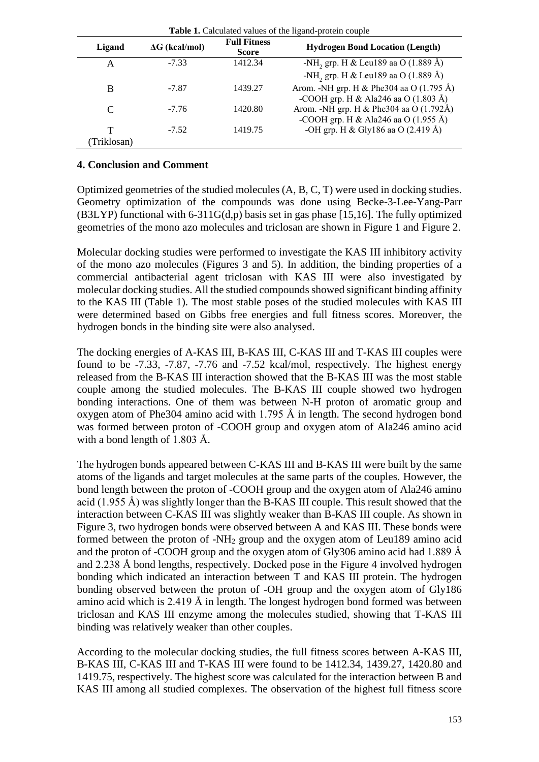| <b>Tuble 11 Culculated</b> Turned of the Highligh protein couple |                       |                                     |                                                           |  |
|------------------------------------------------------------------|-----------------------|-------------------------------------|-----------------------------------------------------------|--|
| Ligand                                                           | $\Delta G$ (kcal/mol) | <b>Full Fitness</b><br><b>Score</b> | <b>Hydrogen Bond Location (Length)</b>                    |  |
| А                                                                | $-7.33$               | 1412.34                             | -NH <sub>2</sub> grp. H & Leu189 aa O $(1.889 \text{ Å})$ |  |
|                                                                  |                       |                                     | -NH <sub>2</sub> grp. H & Leu189 aa O (1.889 Å)           |  |
| B                                                                | $-7.87$               | 1439.27                             | Arom. -NH grp. H & Phe304 aa O (1.795 Å)                  |  |
|                                                                  |                       |                                     | -COOH grp. H & Ala246 aa O $(1.803 \text{ Å})$            |  |
| $\mathcal{C}_{\mathcal{C}}$                                      | $-7.76$               | 1420.80                             | Arom. -NH grp. H & Phe304 aa O (1.792Å)                   |  |
|                                                                  |                       |                                     | -COOH grp. H & Ala246 aa O $(1.955 \text{ Å})$            |  |
| т                                                                | $-7.52$               | 1419.75                             | -OH grp. H & Gly186 aa O (2.419 Å)                        |  |
| Triklosan)                                                       |                       |                                     |                                                           |  |

| Table 1. Calculated values of the ligand-protein couple |  |
|---------------------------------------------------------|--|
|---------------------------------------------------------|--|

#### **4. Conclusion and Comment**

Optimized geometries of the studied molecules (A, B, C, T) were used in docking studies. Geometry optimization of the compounds was done using Becke-3-Lee-Yang-Parr (B3LYP) functional with 6-311G(d,p) basis set in gas phase [15,16]. The fully optimized geometries of the mono azo molecules and triclosan are shown in Figure 1 and Figure 2.

Molecular docking studies were performed to investigate the KAS III inhibitory activity of the mono azo molecules (Figures 3 and 5). In addition, the binding properties of a commercial antibacterial agent triclosan with KAS III were also investigated by molecular docking studies. All the studied compounds showed significant binding affinity to the KAS III (Table 1). The most stable poses of the studied molecules with KAS III were determined based on Gibbs free energies and full fitness scores. Moreover, the hydrogen bonds in the binding site were also analysed.

The docking energies of A-KAS III, B-KAS III, C-KAS III and T-KAS III couples were found to be -7.33, -7.87, -7.76 and -7.52 kcal/mol, respectively. The highest energy released from the B-KAS III interaction showed that the B-KAS III was the most stable couple among the studied molecules. The B-KAS III couple showed two hydrogen bonding interactions. One of them was between N-H proton of aromatic group and oxygen atom of Phe304 amino acid with 1.795 Å in length. The second hydrogen bond was formed between proton of -COOH group and oxygen atom of Ala246 amino acid with a bond length of 1.803 Å.

The hydrogen bonds appeared between C-KAS III and B-KAS III were built by the same atoms of the ligands and target molecules at the same parts of the couples. However, the bond length between the proton of -COOH group and the oxygen atom of Ala246 amino acid (1.955 Å) was slightly longer than the B-KAS III couple. This result showed that the interaction between C-KAS III was slightly weaker than B-KAS III couple. As shown in Figure 3, two hydrogen bonds were observed between A and KAS III. These bonds were formed between the proton of  $-NH<sub>2</sub>$  group and the oxygen atom of Leu189 amino acid and the proton of -COOH group and the oxygen atom of Gly306 amino acid had 1.889 Å and 2.238 Å bond lengths, respectively. Docked pose in the Figure 4 involved hydrogen bonding which indicated an interaction between T and KAS III protein. The hydrogen bonding observed between the proton of -OH group and the oxygen atom of Gly186 amino acid which is 2.419 Å in length. The longest hydrogen bond formed was between triclosan and KAS III enzyme among the molecules studied, showing that T-KAS III binding was relatively weaker than other couples.

According to the molecular docking studies, the full fitness scores between A-KAS III, B-KAS III, C-KAS III and T-KAS III were found to be 1412.34, 1439.27, 1420.80 and 1419.75, respectively. The highest score was calculated for the interaction between B and KAS III among all studied complexes. The observation of the highest full fitness score